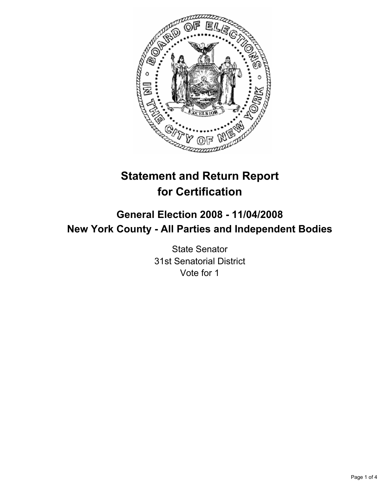

# **Statement and Return Report for Certification**

## **General Election 2008 - 11/04/2008 New York County - All Parties and Independent Bodies**

State Senator 31st Senatorial District Vote for 1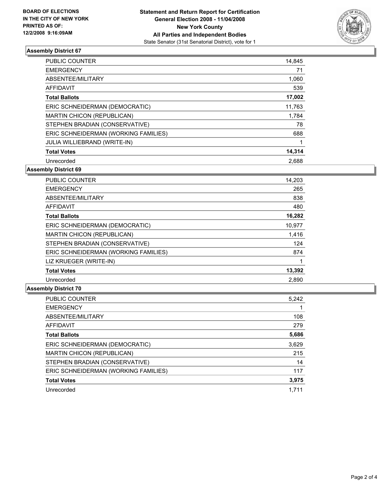

### **Assembly District 67**

| <b>PUBLIC COUNTER</b>                | 14,845 |
|--------------------------------------|--------|
| <b>EMERGENCY</b>                     | 71     |
| ABSENTEE/MILITARY                    | 1,060  |
| <b>AFFIDAVIT</b>                     | 539    |
| <b>Total Ballots</b>                 | 17,002 |
| ERIC SCHNEIDERMAN (DEMOCRATIC)       | 11,763 |
| <b>MARTIN CHICON (REPUBLICAN)</b>    | 1,784  |
| STEPHEN BRADIAN (CONSERVATIVE)       | 78     |
| ERIC SCHNEIDERMAN (WORKING FAMILIES) | 688    |
| <b>JULIA WILLIEBRAND (WRITE-IN)</b>  |        |
| <b>Total Votes</b>                   | 14,314 |
| Unrecorded                           | 2.688  |

**Assembly District 69**

| PUBLIC COUNTER                       | 14,203 |
|--------------------------------------|--------|
| <b>EMERGENCY</b>                     | 265    |
| ABSENTEE/MILITARY                    | 838    |
| <b>AFFIDAVIT</b>                     | 480    |
| <b>Total Ballots</b>                 | 16,282 |
| ERIC SCHNEIDERMAN (DEMOCRATIC)       | 10,977 |
| MARTIN CHICON (REPUBLICAN)           | 1,416  |
| STEPHEN BRADIAN (CONSERVATIVE)       | 124    |
| ERIC SCHNEIDERMAN (WORKING FAMILIES) | 874    |
| LIZ KRUEGER (WRITE-IN)               |        |
| <b>Total Votes</b>                   | 13,392 |
| Unrecorded                           | 2,890  |

#### **Assembly District 70**

| <b>PUBLIC COUNTER</b>                | 5,242 |
|--------------------------------------|-------|
| <b>EMERGENCY</b>                     |       |
| ABSENTEE/MILITARY                    | 108   |
| AFFIDAVIT                            | 279   |
| <b>Total Ballots</b>                 | 5,686 |
| ERIC SCHNEIDERMAN (DEMOCRATIC)       | 3,629 |
| MARTIN CHICON (REPUBLICAN)           | 215   |
| STEPHEN BRADIAN (CONSERVATIVE)       | 14    |
| ERIC SCHNEIDERMAN (WORKING FAMILIES) | 117   |
| <b>Total Votes</b>                   | 3,975 |
| Unrecorded                           | 1.711 |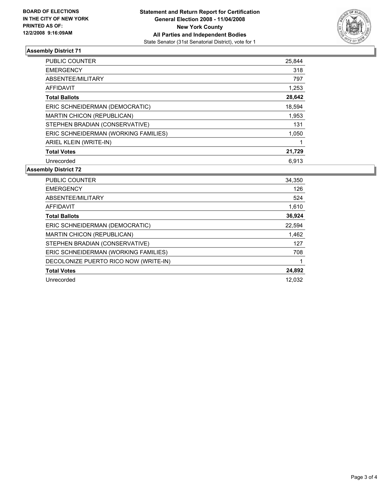

### **Assembly District 71**

| <b>PUBLIC COUNTER</b>                | 25,844 |
|--------------------------------------|--------|
| <b>EMERGENCY</b>                     | 318    |
| ABSENTEE/MILITARY                    | 797    |
| AFFIDAVIT                            | 1,253  |
| <b>Total Ballots</b>                 | 28,642 |
| ERIC SCHNEIDERMAN (DEMOCRATIC)       | 18,594 |
| <b>MARTIN CHICON (REPUBLICAN)</b>    | 1,953  |
| STEPHEN BRADIAN (CONSERVATIVE)       | 131    |
| ERIC SCHNEIDERMAN (WORKING FAMILIES) | 1,050  |
| <b>ARIEL KLEIN (WRITE-IN)</b>        |        |
| <b>Total Votes</b>                   | 21,729 |
| Unrecorded                           | 6,913  |

#### **Assembly District 72**

| <b>PUBLIC COUNTER</b>                 | 34,350 |
|---------------------------------------|--------|
| <b>EMERGENCY</b>                      | 126    |
| ABSENTEE/MILITARY                     | 524    |
| <b>AFFIDAVIT</b>                      | 1,610  |
| <b>Total Ballots</b>                  | 36,924 |
| ERIC SCHNEIDERMAN (DEMOCRATIC)        | 22,594 |
| <b>MARTIN CHICON (REPUBLICAN)</b>     | 1,462  |
| STEPHEN BRADIAN (CONSERVATIVE)        | 127    |
| ERIC SCHNEIDERMAN (WORKING FAMILIES)  | 708    |
| DECOLONIZE PUERTO RICO NOW (WRITE-IN) |        |
| <b>Total Votes</b>                    | 24,892 |
| Unrecorded                            | 12.032 |